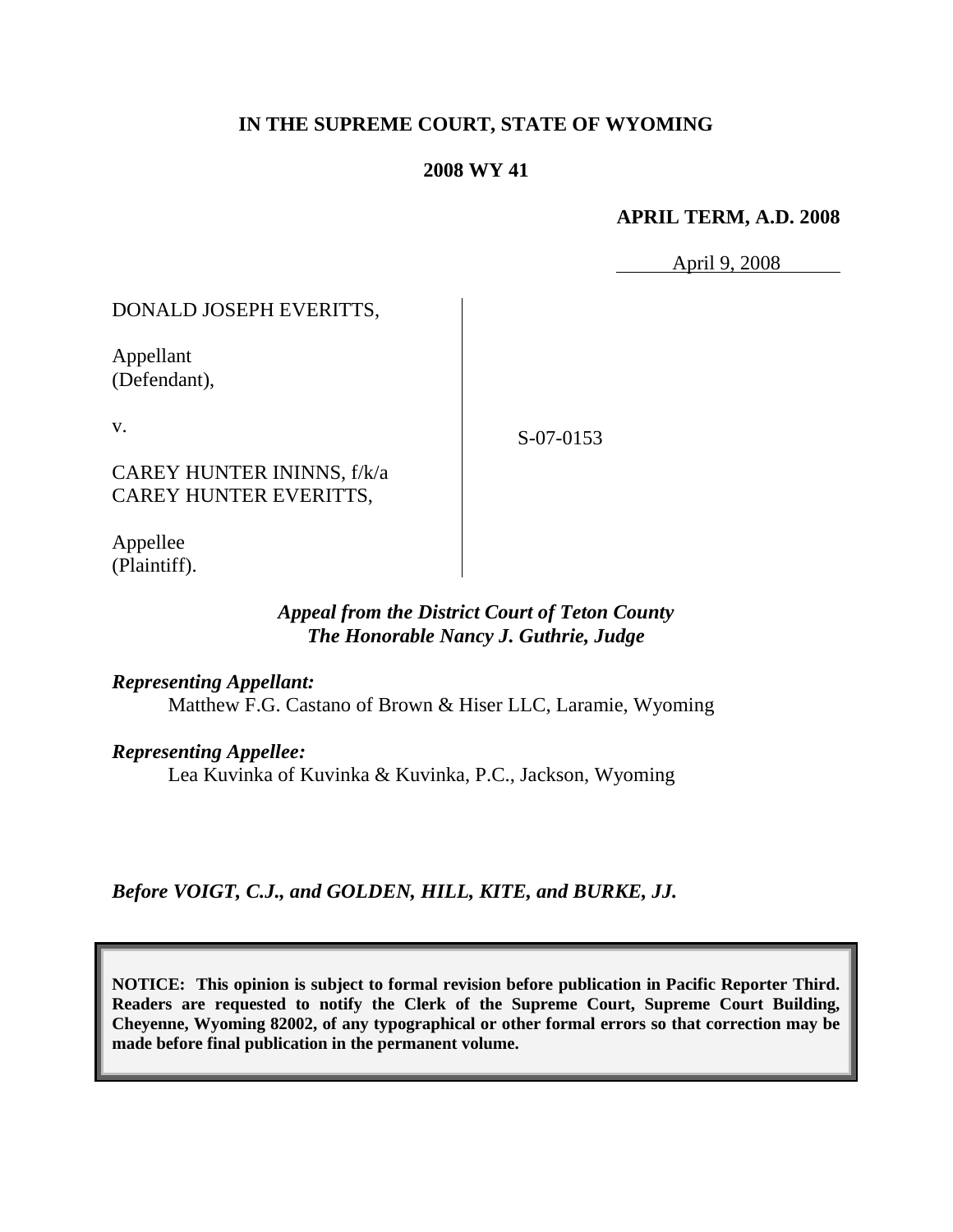# **IN THE SUPREME COURT, STATE OF WYOMING**

# **2008 WY 41**

### **APRIL TERM, A.D. 2008**

April 9, 2008

# DONALD JOSEPH EVERITTS,

Appellant (Defendant),

v.

S-07-0153

CAREY HUNTER ININNS, f/k/a CAREY HUNTER EVERITTS,

Appellee (Plaintiff).

# *Appeal from the District Court of Teton County The Honorable Nancy J. Guthrie, Judge*

*Representing Appellant:*

Matthew F.G. Castano of Brown & Hiser LLC, Laramie, Wyoming

*Representing Appellee:*

Lea Kuvinka of Kuvinka & Kuvinka, P.C., Jackson, Wyoming

*Before VOIGT, C.J., and GOLDEN, HILL, KITE, and BURKE, JJ.*

**NOTICE: This opinion is subject to formal revision before publication in Pacific Reporter Third. Readers are requested to notify the Clerk of the Supreme Court, Supreme Court Building, Cheyenne, Wyoming 82002, of any typographical or other formal errors so that correction may be made before final publication in the permanent volume.**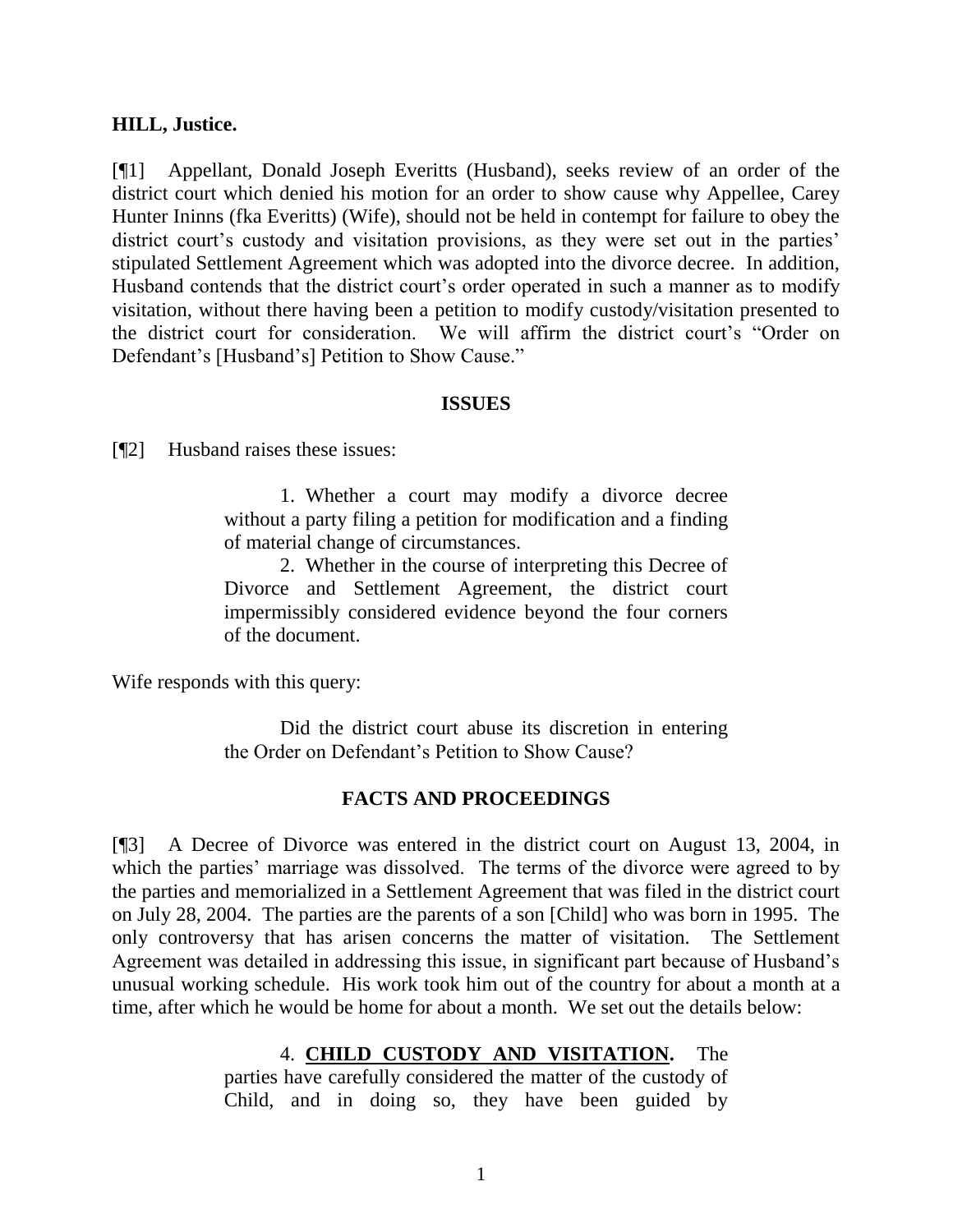# **HILL, Justice.**

[¶1] Appellant, Donald Joseph Everitts (Husband), seeks review of an order of the district court which denied his motion for an order to show cause why Appellee, Carey Hunter Ininns (fka Everitts) (Wife), should not be held in contempt for failure to obey the district court's custody and visitation provisions, as they were set out in the parties' stipulated Settlement Agreement which was adopted into the divorce decree. In addition, Husband contends that the district court's order operated in such a manner as to modify visitation, without there having been a petition to modify custody/visitation presented to the district court for consideration. We will affirm the district court's "Order on Defendant's [Husband's] Petition to Show Cause."

### **ISSUES**

[¶2] Husband raises these issues:

1. Whether a court may modify a divorce decree without a party filing a petition for modification and a finding of material change of circumstances.

2. Whether in the course of interpreting this Decree of Divorce and Settlement Agreement, the district court impermissibly considered evidence beyond the four corners of the document.

Wife responds with this query:

Did the district court abuse its discretion in entering the Order on Defendant's Petition to Show Cause?

# **FACTS AND PROCEEDINGS**

[¶3] A Decree of Divorce was entered in the district court on August 13, 2004, in which the parties' marriage was dissolved. The terms of the divorce were agreed to by the parties and memorialized in a Settlement Agreement that was filed in the district court on July 28, 2004. The parties are the parents of a son [Child] who was born in 1995. The only controversy that has arisen concerns the matter of visitation. The Settlement Agreement was detailed in addressing this issue, in significant part because of Husband's unusual working schedule. His work took him out of the country for about a month at a time, after which he would be home for about a month. We set out the details below:

> 4. **CHILD CUSTODY AND VISITATION.** The parties have carefully considered the matter of the custody of Child, and in doing so, they have been guided by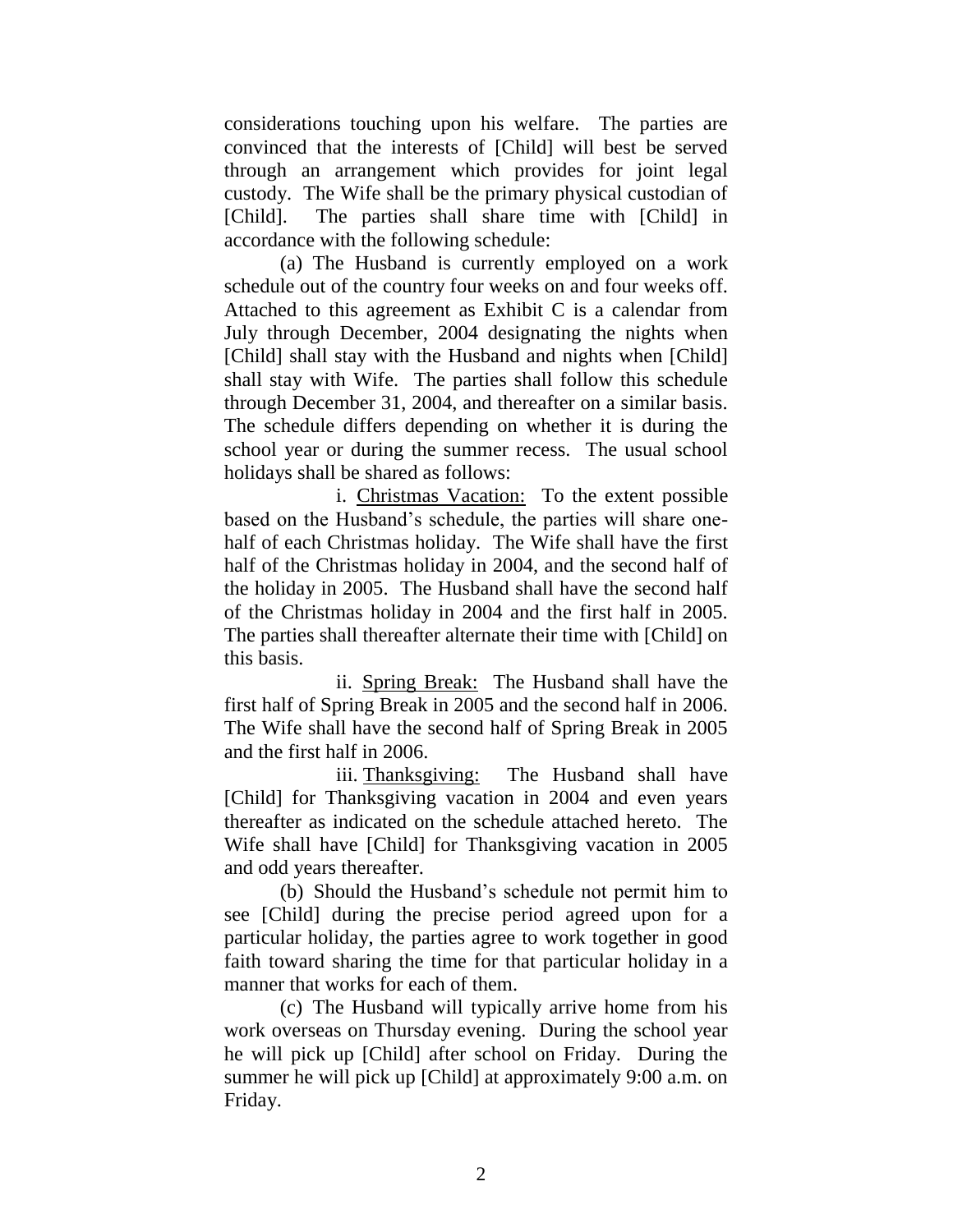considerations touching upon his welfare. The parties are convinced that the interests of [Child] will best be served through an arrangement which provides for joint legal custody. The Wife shall be the primary physical custodian of [Child]. The parties shall share time with [Child] in accordance with the following schedule:

(a) The Husband is currently employed on a work schedule out of the country four weeks on and four weeks off. Attached to this agreement as Exhibit C is a calendar from July through December, 2004 designating the nights when [Child] shall stay with the Husband and nights when [Child] shall stay with Wife. The parties shall follow this schedule through December 31, 2004, and thereafter on a similar basis. The schedule differs depending on whether it is during the school year or during the summer recess. The usual school holidays shall be shared as follows:

i. Christmas Vacation: To the extent possible based on the Husband's schedule, the parties will share onehalf of each Christmas holiday. The Wife shall have the first half of the Christmas holiday in 2004, and the second half of the holiday in 2005. The Husband shall have the second half of the Christmas holiday in 2004 and the first half in 2005. The parties shall thereafter alternate their time with [Child] on this basis.

ii. Spring Break: The Husband shall have the first half of Spring Break in 2005 and the second half in 2006. The Wife shall have the second half of Spring Break in 2005 and the first half in 2006.

iii. Thanksgiving: The Husband shall have [Child] for Thanksgiving vacation in 2004 and even years thereafter as indicated on the schedule attached hereto. The Wife shall have [Child] for Thanksgiving vacation in 2005 and odd years thereafter.

(b) Should the Husband's schedule not permit him to see [Child] during the precise period agreed upon for a particular holiday, the parties agree to work together in good faith toward sharing the time for that particular holiday in a manner that works for each of them.

(c) The Husband will typically arrive home from his work overseas on Thursday evening. During the school year he will pick up [Child] after school on Friday. During the summer he will pick up [Child] at approximately 9:00 a.m. on Friday.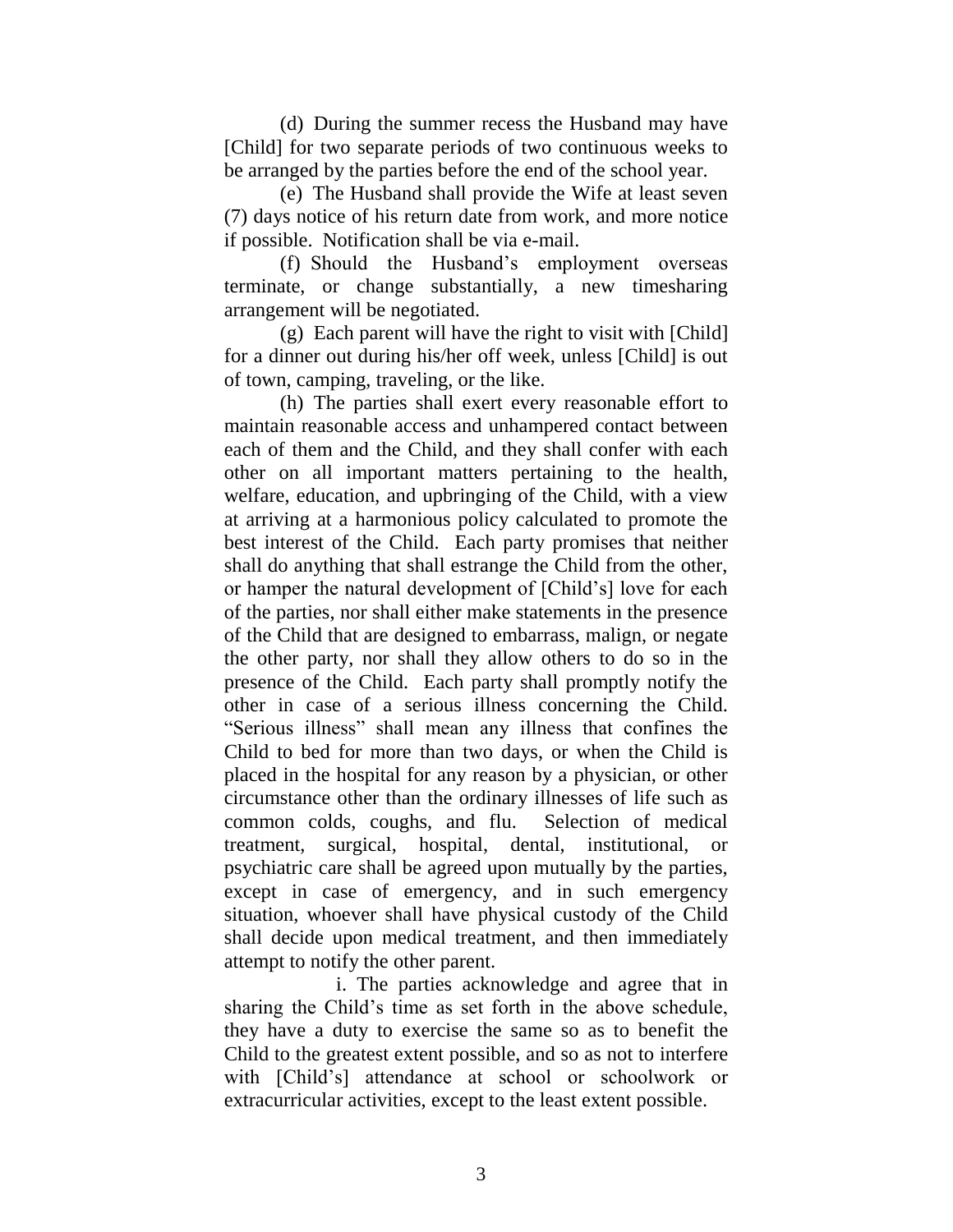(d) During the summer recess the Husband may have [Child] for two separate periods of two continuous weeks to be arranged by the parties before the end of the school year.

(e) The Husband shall provide the Wife at least seven (7) days notice of his return date from work, and more notice if possible. Notification shall be via e-mail.

(f) Should the Husband's employment overseas terminate, or change substantially, a new timesharing arrangement will be negotiated.

(g) Each parent will have the right to visit with [Child] for a dinner out during his/her off week, unless [Child] is out of town, camping, traveling, or the like.

(h) The parties shall exert every reasonable effort to maintain reasonable access and unhampered contact between each of them and the Child, and they shall confer with each other on all important matters pertaining to the health, welfare, education, and upbringing of the Child, with a view at arriving at a harmonious policy calculated to promote the best interest of the Child. Each party promises that neither shall do anything that shall estrange the Child from the other, or hamper the natural development of [Child's] love for each of the parties, nor shall either make statements in the presence of the Child that are designed to embarrass, malign, or negate the other party, nor shall they allow others to do so in the presence of the Child. Each party shall promptly notify the other in case of a serious illness concerning the Child. "Serious illness" shall mean any illness that confines the Child to bed for more than two days, or when the Child is placed in the hospital for any reason by a physician, or other circumstance other than the ordinary illnesses of life such as common colds, coughs, and flu. Selection of medical treatment, surgical, hospital, dental, institutional, or psychiatric care shall be agreed upon mutually by the parties, except in case of emergency, and in such emergency situation, whoever shall have physical custody of the Child shall decide upon medical treatment, and then immediately attempt to notify the other parent.

i. The parties acknowledge and agree that in sharing the Child's time as set forth in the above schedule, they have a duty to exercise the same so as to benefit the Child to the greatest extent possible, and so as not to interfere with [Child's] attendance at school or schoolwork or extracurricular activities, except to the least extent possible.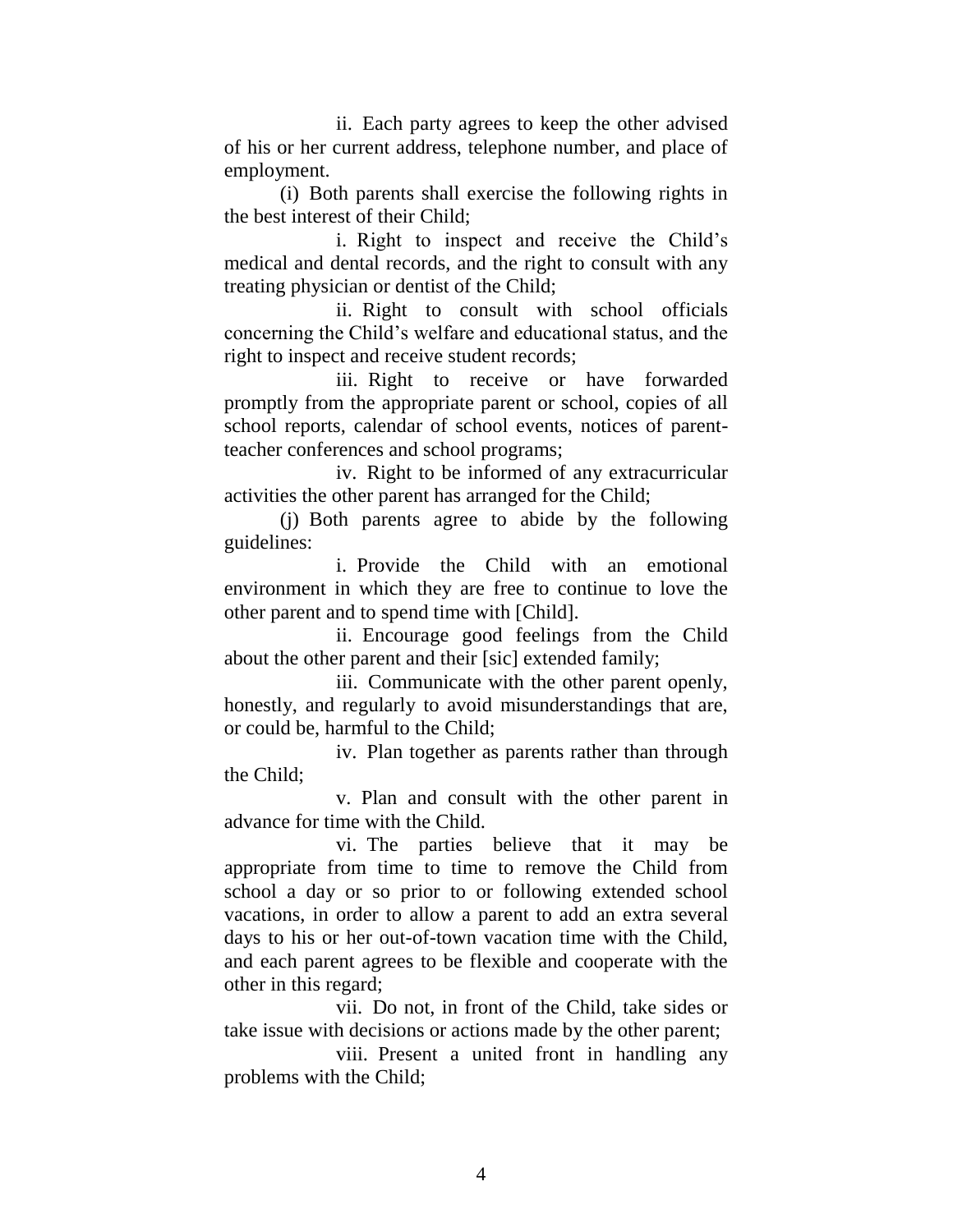ii. Each party agrees to keep the other advised of his or her current address, telephone number, and place of employment.

(i) Both parents shall exercise the following rights in the best interest of their Child;

i. Right to inspect and receive the Child's medical and dental records, and the right to consult with any treating physician or dentist of the Child;

ii. Right to consult with school officials concerning the Child's welfare and educational status, and the right to inspect and receive student records;

iii. Right to receive or have forwarded promptly from the appropriate parent or school, copies of all school reports, calendar of school events, notices of parentteacher conferences and school programs;

iv. Right to be informed of any extracurricular activities the other parent has arranged for the Child;

(j) Both parents agree to abide by the following guidelines:

i. Provide the Child with an emotional environment in which they are free to continue to love the other parent and to spend time with [Child].

ii. Encourage good feelings from the Child about the other parent and their [sic] extended family;

iii. Communicate with the other parent openly, honestly, and regularly to avoid misunderstandings that are, or could be, harmful to the Child;

iv. Plan together as parents rather than through the Child;

v. Plan and consult with the other parent in advance for time with the Child.

vi. The parties believe that it may be appropriate from time to time to remove the Child from school a day or so prior to or following extended school vacations, in order to allow a parent to add an extra several days to his or her out-of-town vacation time with the Child, and each parent agrees to be flexible and cooperate with the other in this regard;

vii. Do not, in front of the Child, take sides or take issue with decisions or actions made by the other parent;

viii. Present a united front in handling any problems with the Child;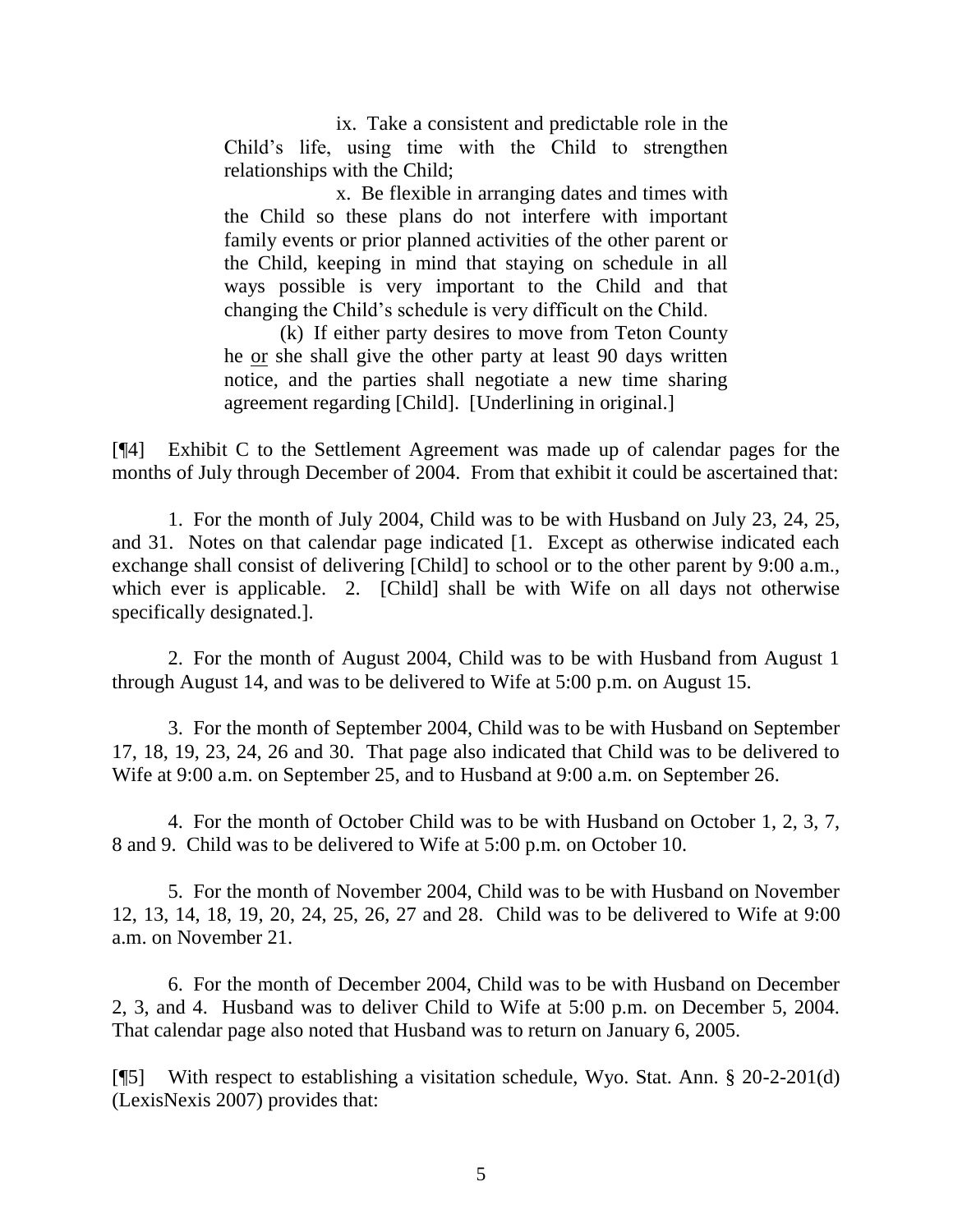ix. Take a consistent and predictable role in the Child's life, using time with the Child to strengthen relationships with the Child;

x. Be flexible in arranging dates and times with the Child so these plans do not interfere with important family events or prior planned activities of the other parent or the Child, keeping in mind that staying on schedule in all ways possible is very important to the Child and that changing the Child's schedule is very difficult on the Child.

(k) If either party desires to move from Teton County he or she shall give the other party at least 90 days written notice, and the parties shall negotiate a new time sharing agreement regarding [Child]. [Underlining in original.]

[¶4] Exhibit C to the Settlement Agreement was made up of calendar pages for the months of July through December of 2004. From that exhibit it could be ascertained that:

1. For the month of July 2004, Child was to be with Husband on July 23, 24, 25, and 31. Notes on that calendar page indicated [1. Except as otherwise indicated each exchange shall consist of delivering [Child] to school or to the other parent by 9:00 a.m., which ever is applicable. 2. [Child] shall be with Wife on all days not otherwise specifically designated.].

2. For the month of August 2004, Child was to be with Husband from August 1 through August 14, and was to be delivered to Wife at 5:00 p.m. on August 15.

3. For the month of September 2004, Child was to be with Husband on September 17, 18, 19, 23, 24, 26 and 30. That page also indicated that Child was to be delivered to Wife at 9:00 a.m. on September 25, and to Husband at 9:00 a.m. on September 26.

4. For the month of October Child was to be with Husband on October 1, 2, 3, 7, 8 and 9. Child was to be delivered to Wife at 5:00 p.m. on October 10.

5. For the month of November 2004, Child was to be with Husband on November 12, 13, 14, 18, 19, 20, 24, 25, 26, 27 and 28. Child was to be delivered to Wife at 9:00 a.m. on November 21.

6. For the month of December 2004, Child was to be with Husband on December 2, 3, and 4. Husband was to deliver Child to Wife at 5:00 p.m. on December 5, 2004. That calendar page also noted that Husband was to return on January 6, 2005.

[¶5] With respect to establishing a visitation schedule, Wyo. Stat. Ann. § 20-2-201(d) (LexisNexis 2007) provides that: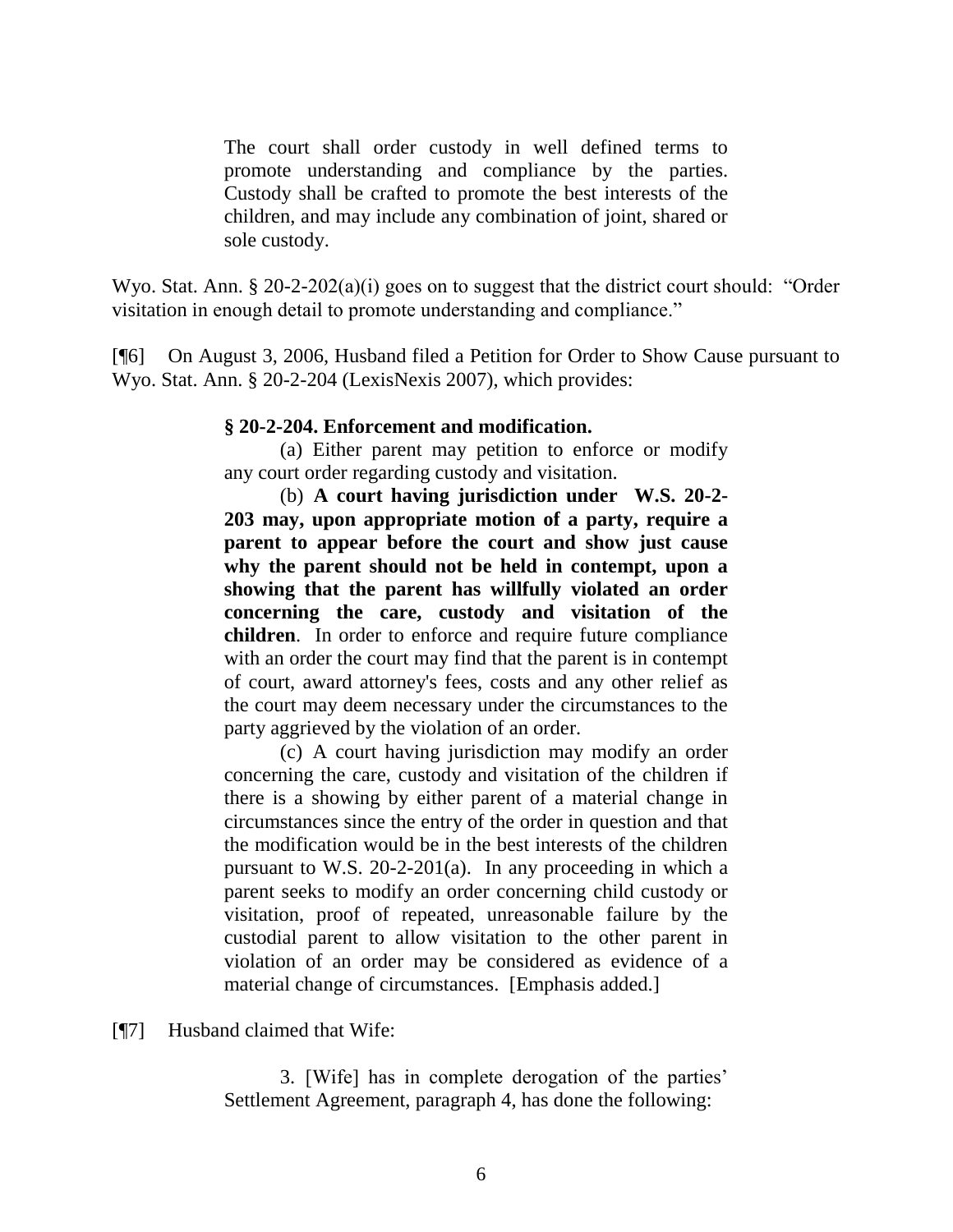The court shall order custody in well defined terms to promote understanding and compliance by the parties. Custody shall be crafted to promote the best interests of the children, and may include any combination of joint, shared or sole custody.

Wyo. Stat. Ann. § 20-2-202(a)(i) goes on to suggest that the district court should: "Order visitation in enough detail to promote understanding and compliance."

[¶6] On August 3, 2006, Husband filed a Petition for Order to Show Cause pursuant to Wyo. Stat. Ann. § 20-2-204 (LexisNexis 2007), which provides:

# **§ 20-2-204. Enforcement and modification.**

(a) Either parent may petition to enforce or modify any court order regarding custody and visitation.

(b) **A court having jurisdiction under W.S. 20-2- 203 may, upon appropriate motion of a party, require a parent to appear before the court and show just cause why the parent should not be held in contempt, upon a showing that the parent has willfully violated an order concerning the care, custody and visitation of the children**. In order to enforce and require future compliance with an order the court may find that the parent is in contempt of court, award attorney's fees, costs and any other relief as the court may deem necessary under the circumstances to the party aggrieved by the violation of an order.

(c) A court having jurisdiction may modify an order concerning the care, custody and visitation of the children if there is a showing by either parent of a material change in circumstances since the entry of the order in question and that the modification would be in the best interests of the children pursuant to W.S. 20-2-201(a). In any proceeding in which a parent seeks to modify an order concerning child custody or visitation, proof of repeated, unreasonable failure by the custodial parent to allow visitation to the other parent in violation of an order may be considered as evidence of a material change of circumstances. [Emphasis added.]

[¶7] Husband claimed that Wife:

3. [Wife] has in complete derogation of the parties' Settlement Agreement, paragraph 4, has done the following: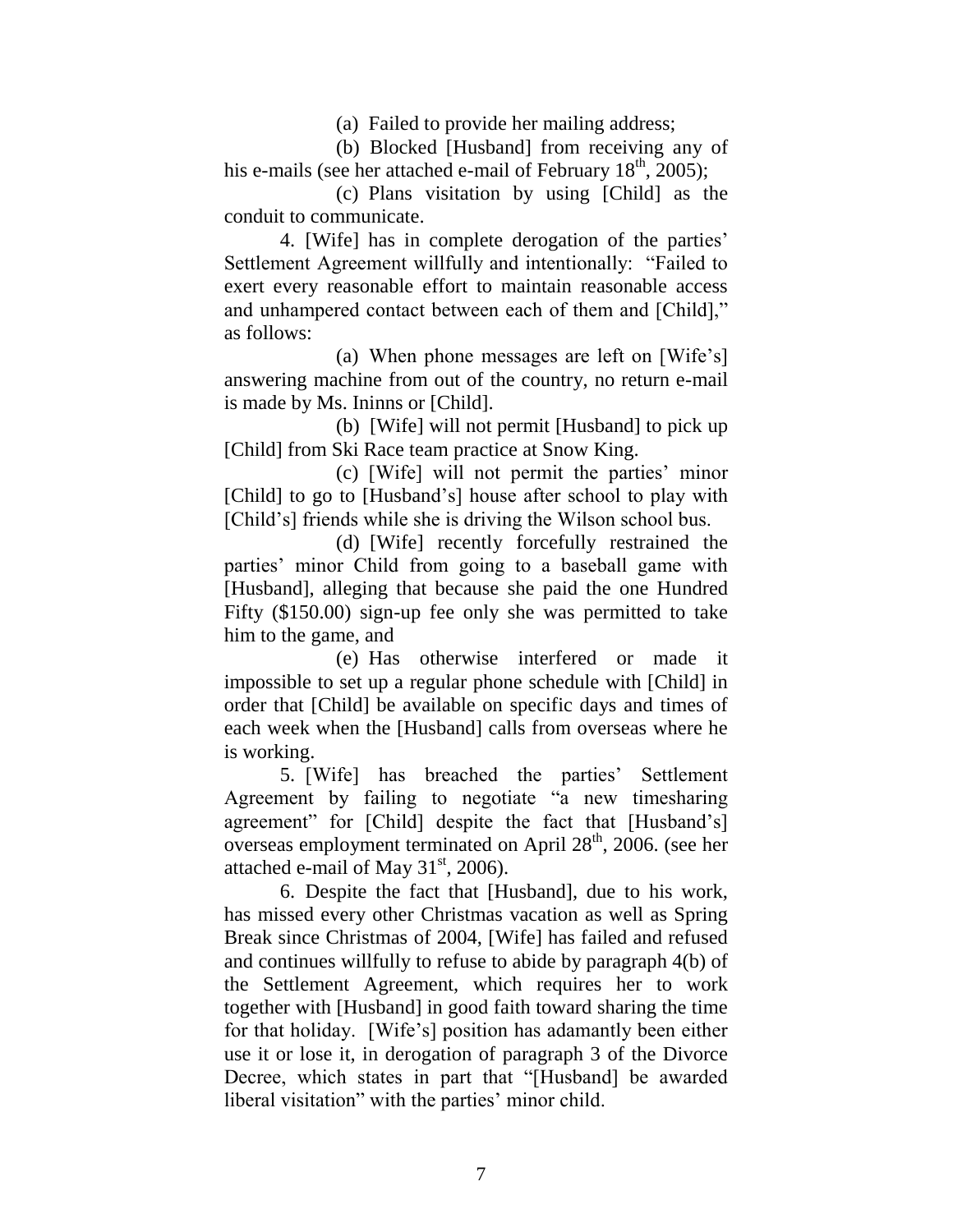(a) Failed to provide her mailing address;

(b) Blocked [Husband] from receiving any of his e-mails (see her attached e-mail of February  $18<sup>th</sup>$ , 2005);

(c) Plans visitation by using [Child] as the conduit to communicate.

4. [Wife] has in complete derogation of the parties' Settlement Agreement willfully and intentionally: "Failed to exert every reasonable effort to maintain reasonable access and unhampered contact between each of them and [Child]," as follows:

(a) When phone messages are left on [Wife's] answering machine from out of the country, no return e-mail is made by Ms. Ininns or [Child].

(b) [Wife] will not permit [Husband] to pick up [Child] from Ski Race team practice at Snow King.

(c) [Wife] will not permit the parties' minor [Child] to go to [Husband's] house after school to play with [Child's] friends while she is driving the Wilson school bus.

(d) [Wife] recently forcefully restrained the parties' minor Child from going to a baseball game with [Husband], alleging that because she paid the one Hundred Fifty (\$150.00) sign-up fee only she was permitted to take him to the game, and

(e) Has otherwise interfered or made it impossible to set up a regular phone schedule with [Child] in order that [Child] be available on specific days and times of each week when the [Husband] calls from overseas where he is working.

5. [Wife] has breached the parties' Settlement Agreement by failing to negotiate "a new timesharing agreement" for [Child] despite the fact that [Husband's] overseas employment terminated on April 28<sup>th</sup>, 2006. (see her attached e-mail of May  $31<sup>st</sup>$ , 2006).

6. Despite the fact that [Husband], due to his work, has missed every other Christmas vacation as well as Spring Break since Christmas of 2004, [Wife] has failed and refused and continues willfully to refuse to abide by paragraph 4(b) of the Settlement Agreement, which requires her to work together with [Husband] in good faith toward sharing the time for that holiday. [Wife's] position has adamantly been either use it or lose it, in derogation of paragraph 3 of the Divorce Decree, which states in part that "[Husband] be awarded liberal visitation" with the parties' minor child.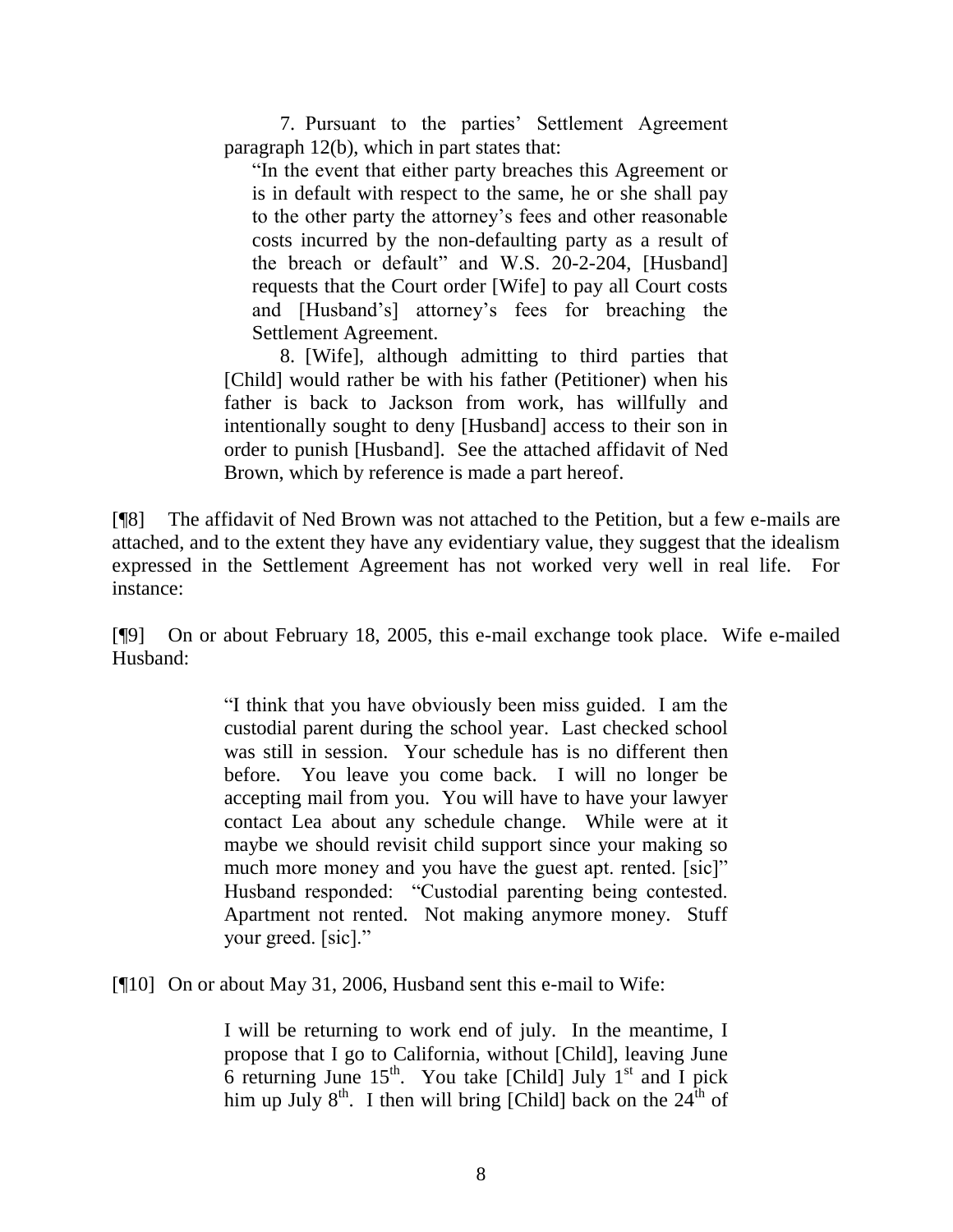7. Pursuant to the parties' Settlement Agreement paragraph 12(b), which in part states that:

"In the event that either party breaches this Agreement or is in default with respect to the same, he or she shall pay to the other party the attorney's fees and other reasonable costs incurred by the non-defaulting party as a result of the breach or default" and W.S. 20-2-204, [Husband] requests that the Court order [Wife] to pay all Court costs and [Husband's] attorney's fees for breaching the Settlement Agreement.

8. [Wife], although admitting to third parties that [Child] would rather be with his father (Petitioner) when his father is back to Jackson from work, has willfully and intentionally sought to deny [Husband] access to their son in order to punish [Husband]. See the attached affidavit of Ned Brown, which by reference is made a part hereof.

[¶8] The affidavit of Ned Brown was not attached to the Petition, but a few e-mails are attached, and to the extent they have any evidentiary value, they suggest that the idealism expressed in the Settlement Agreement has not worked very well in real life. For instance:

[¶9] On or about February 18, 2005, this e-mail exchange took place. Wife e-mailed Husband:

> "I think that you have obviously been miss guided. I am the custodial parent during the school year. Last checked school was still in session. Your schedule has is no different then before. You leave you come back. I will no longer be accepting mail from you. You will have to have your lawyer contact Lea about any schedule change. While were at it maybe we should revisit child support since your making so much more money and you have the guest apt. rented. [sic]" Husband responded: "Custodial parenting being contested. Apartment not rented. Not making anymore money. Stuff your greed. [sic]."

[¶10] On or about May 31, 2006, Husband sent this e-mail to Wife:

I will be returning to work end of july. In the meantime, I propose that I go to California, without [Child], leaving June 6 returning June  $15^{th}$ . You take [Child] July  $1^{st}$  and I pick him up July  $8^{th}$ . I then will bring [Child] back on the  $24^{th}$  of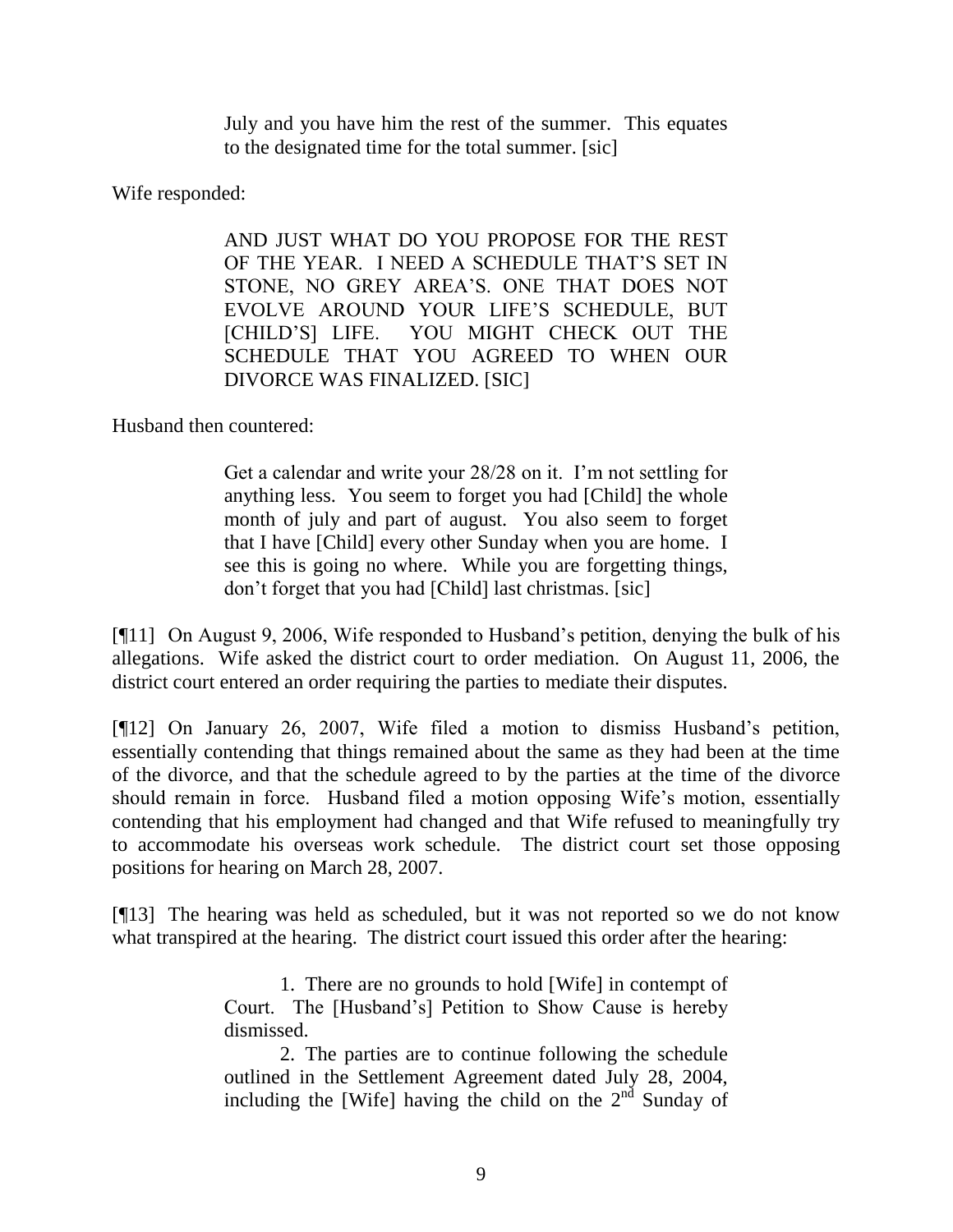July and you have him the rest of the summer. This equates to the designated time for the total summer. [sic]

Wife responded:

AND JUST WHAT DO YOU PROPOSE FOR THE REST OF THE YEAR. I NEED A SCHEDULE THAT'S SET IN STONE, NO GREY AREA'S. ONE THAT DOES NOT EVOLVE AROUND YOUR LIFE'S SCHEDULE, BUT [CHILD'S] LIFE. YOU MIGHT CHECK OUT THE SCHEDULE THAT YOU AGREED TO WHEN OUR DIVORCE WAS FINALIZED. [SIC]

Husband then countered:

Get a calendar and write your 28/28 on it. I'm not settling for anything less. You seem to forget you had [Child] the whole month of july and part of august. You also seem to forget that I have [Child] every other Sunday when you are home. I see this is going no where. While you are forgetting things, don't forget that you had [Child] last christmas. [sic]

[¶11] On August 9, 2006, Wife responded to Husband's petition, denying the bulk of his allegations. Wife asked the district court to order mediation. On August 11, 2006, the district court entered an order requiring the parties to mediate their disputes.

[¶12] On January 26, 2007, Wife filed a motion to dismiss Husband's petition, essentially contending that things remained about the same as they had been at the time of the divorce, and that the schedule agreed to by the parties at the time of the divorce should remain in force. Husband filed a motion opposing Wife's motion, essentially contending that his employment had changed and that Wife refused to meaningfully try to accommodate his overseas work schedule. The district court set those opposing positions for hearing on March 28, 2007.

[¶13] The hearing was held as scheduled, but it was not reported so we do not know what transpired at the hearing. The district court issued this order after the hearing:

> 1. There are no grounds to hold [Wife] in contempt of Court. The [Husband's] Petition to Show Cause is hereby dismissed.

> 2. The parties are to continue following the schedule outlined in the Settlement Agreement dated July 28, 2004, including the [Wife] having the child on the  $2<sup>nd</sup>$  Sunday of